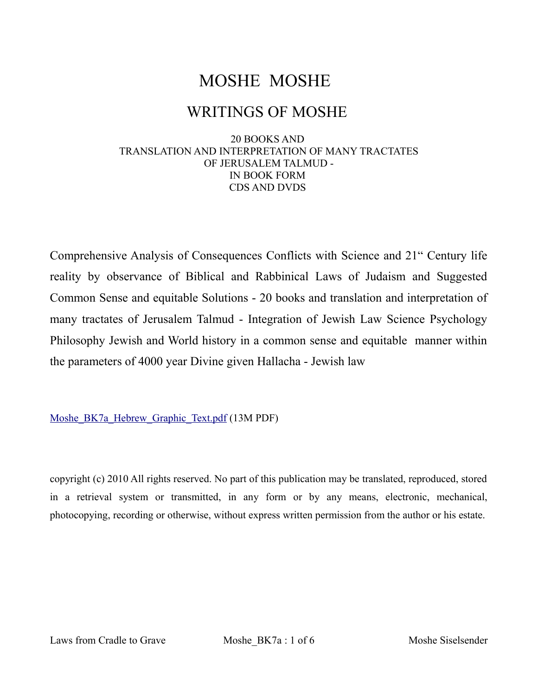# MOSHE MOSHE

## WRITINGS OF MOSHE

#### 20 BOOKS AND TRANSLATION AND INTERPRETATION OF MANY TRACTATES OF JERUSALEM TALMUD - IN BOOK FORM CDS AND DVDS

Comprehensive Analysis of Consequences Conflicts with Science and 21" Century life reality by observance of Biblical and Rabbinical Laws of Judaism and Suggested Common Sense and equitable Solutions - 20 books and translation and interpretation of many tractates of Jerusalem Talmud - Integration of Jewish Law Science Psychology Philosophy Jewish and World history in a common sense and equitable manner within the parameters of 4000 year Divine given Hallacha - Jewish law

[Moshe\\_BK7a\\_Hebrew\\_Graphic\\_Text.pdf](http://agunah.com/Moshe_BK7a_Hebrew_Graphic_Text.pdf) (13M PDF)

copyright (c) 2010 All rights reserved. No part of this publication may be translated, reproduced, stored in a retrieval system or transmitted, in any form or by any means, electronic, mechanical, photocopying, recording or otherwise, without express written permission from the author or his estate.

Laws from Cradle to Grave Moshe\_BK7a : 1 of 6 Moshe Siselsender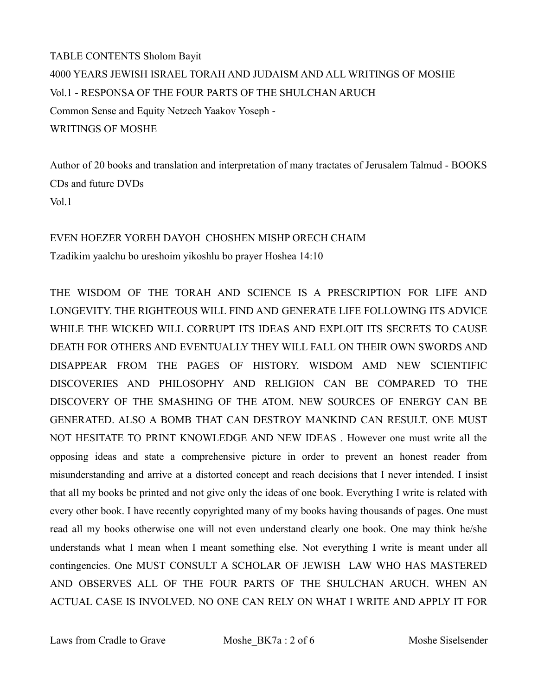TABLE CONTENTS Sholom Bayit 4000 YEARS JEWISH ISRAEL TORAH AND JUDAISM AND ALL WRITINGS OF MOSHE Vol.1 - RESPONSA OF THE FOUR PARTS OF THE SHULCHAN ARUCH Common Sense and Equity Netzech Yaakov Yoseph - WRITINGS OF MOSHE

Author of 20 books and translation and interpretation of many tractates of Jerusalem Talmud - BOOKS CDs and future DVDs Vol.1

#### EVEN HOEZER YOREH DAYOH CHOSHEN MISHP ORECH CHAIM

Tzadikim yaalchu bo ureshoim yikoshlu bo prayer Hoshea 14:10

THE WISDOM OF THE TORAH AND SCIENCE IS A PRESCRIPTION FOR LIFE AND LONGEVITY. THE RIGHTEOUS WILL FIND AND GENERATE LIFE FOLLOWING ITS ADVICE WHILE THE WICKED WILL CORRUPT ITS IDEAS AND EXPLOIT ITS SECRETS TO CAUSE DEATH FOR OTHERS AND EVENTUALLY THEY WILL FALL ON THEIR OWN SWORDS AND DISAPPEAR FROM THE PAGES OF HISTORY. WISDOM AMD NEW SCIENTIFIC DISCOVERIES AND PHILOSOPHY AND RELIGION CAN BE COMPARED TO THE DISCOVERY OF THE SMASHING OF THE ATOM. NEW SOURCES OF ENERGY CAN BE GENERATED. ALSO A BOMB THAT CAN DESTROY MANKIND CAN RESULT. ONE MUST NOT HESITATE TO PRINT KNOWLEDGE AND NEW IDEAS . However one must write all the opposing ideas and state a comprehensive picture in order to prevent an honest reader from misunderstanding and arrive at a distorted concept and reach decisions that I never intended. I insist that all my books be printed and not give only the ideas of one book. Everything I write is related with every other book. I have recently copyrighted many of my books having thousands of pages. One must read all my books otherwise one will not even understand clearly one book. One may think he/she understands what I mean when I meant something else. Not everything I write is meant under all contingencies. One MUST CONSULT A SCHOLAR OF JEWISH LAW WHO HAS MASTERED AND OBSERVES ALL OF THE FOUR PARTS OF THE SHULCHAN ARUCH. WHEN AN ACTUAL CASE IS INVOLVED. NO ONE CAN RELY ON WHAT I WRITE AND APPLY IT FOR

Laws from Cradle to Grave Moshe\_BK7a : 2 of 6 Moshe Siselsender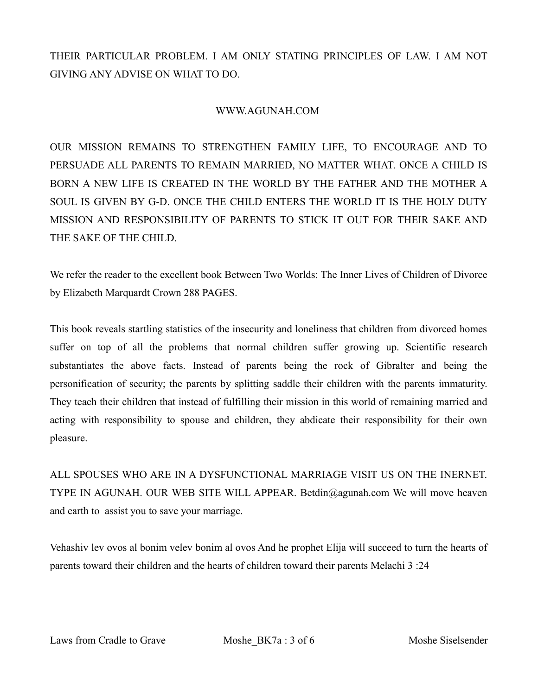THEIR PARTICULAR PROBLEM. I AM ONLY STATING PRINCIPLES OF LAW. I AM NOT GIVING ANY ADVISE ON WHAT TO DO.

#### WWW.AGUNAH.COM

OUR MISSION REMAINS TO STRENGTHEN FAMILY LIFE, TO ENCOURAGE AND TO PERSUADE ALL PARENTS TO REMAIN MARRIED, NO MATTER WHAT. ONCE A CHILD IS BORN A NEW LIFE IS CREATED IN THE WORLD BY THE FATHER AND THE MOTHER A SOUL IS GIVEN BY G-D. ONCE THE CHILD ENTERS THE WORLD IT IS THE HOLY DUTY MISSION AND RESPONSIBILITY OF PARENTS TO STICK IT OUT FOR THEIR SAKE AND THE SAKE OF THE CHILD.

We refer the reader to the excellent book Between Two Worlds: The Inner Lives of Children of Divorce by Elizabeth Marquardt Crown 288 PAGES.

This book reveals startling statistics of the insecurity and loneliness that children from divorced homes suffer on top of all the problems that normal children suffer growing up. Scientific research substantiates the above facts. Instead of parents being the rock of Gibralter and being the personification of security; the parents by splitting saddle their children with the parents immaturity. They teach their children that instead of fulfilling their mission in this world of remaining married and acting with responsibility to spouse and children, they abdicate their responsibility for their own pleasure.

ALL SPOUSES WHO ARE IN A DYSFUNCTIONAL MARRIAGE VISIT US ON THE INERNET. TYPE IN AGUNAH. OUR WEB SITE WILL APPEAR. Betdin@agunah.com We will move heaven and earth to assist you to save your marriage.

Vehashiv lev ovos al bonim velev bonim al ovos And he prophet Elija will succeed to turn the hearts of parents toward their children and the hearts of children toward their parents Melachi 3 :24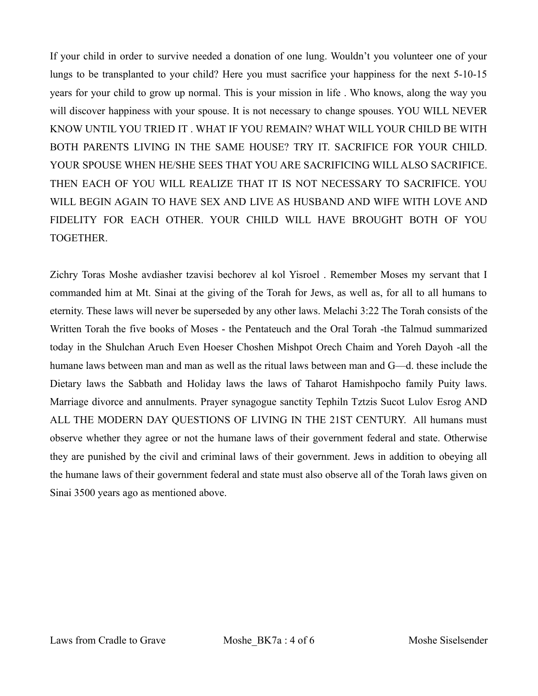If your child in order to survive needed a donation of one lung. Wouldn't you volunteer one of your lungs to be transplanted to your child? Here you must sacrifice your happiness for the next 5-10-15 years for your child to grow up normal. This is your mission in life . Who knows, along the way you will discover happiness with your spouse. It is not necessary to change spouses. YOU WILL NEVER KNOW UNTIL YOU TRIED IT . WHAT IF YOU REMAIN? WHAT WILL YOUR CHILD BE WITH BOTH PARENTS LIVING IN THE SAME HOUSE? TRY IT. SACRIFICE FOR YOUR CHILD. YOUR SPOUSE WHEN HE/SHE SEES THAT YOU ARE SACRIFICING WILL ALSO SACRIFICE. THEN EACH OF YOU WILL REALIZE THAT IT IS NOT NECESSARY TO SACRIFICE. YOU WILL BEGIN AGAIN TO HAVE SEX AND LIVE AS HUSBAND AND WIFE WITH LOVE AND FIDELITY FOR EACH OTHER. YOUR CHILD WILL HAVE BROUGHT BOTH OF YOU TOGETHER.

Zichry Toras Moshe avdiasher tzavisi bechorev al kol Yisroel . Remember Moses my servant that I commanded him at Mt. Sinai at the giving of the Torah for Jews, as well as, for all to all humans to eternity. These laws will never be superseded by any other laws. Melachi 3:22 The Torah consists of the Written Torah the five books of Moses - the Pentateuch and the Oral Torah -the Talmud summarized today in the Shulchan Aruch Even Hoeser Choshen Mishpot Orech Chaim and Yoreh Dayoh -all the humane laws between man and man as well as the ritual laws between man and G—d. these include the Dietary laws the Sabbath and Holiday laws the laws of Taharot Hamishpocho family Puity laws. Marriage divorce and annulments. Prayer synagogue sanctity Tephiln Tztzis Sucot Lulov Esrog AND ALL THE MODERN DAY QUESTIONS OF LIVING IN THE 21ST CENTURY. All humans must observe whether they agree or not the humane laws of their government federal and state. Otherwise they are punished by the civil and criminal laws of their government. Jews in addition to obeying all the humane laws of their government federal and state must also observe all of the Torah laws given on Sinai 3500 years ago as mentioned above.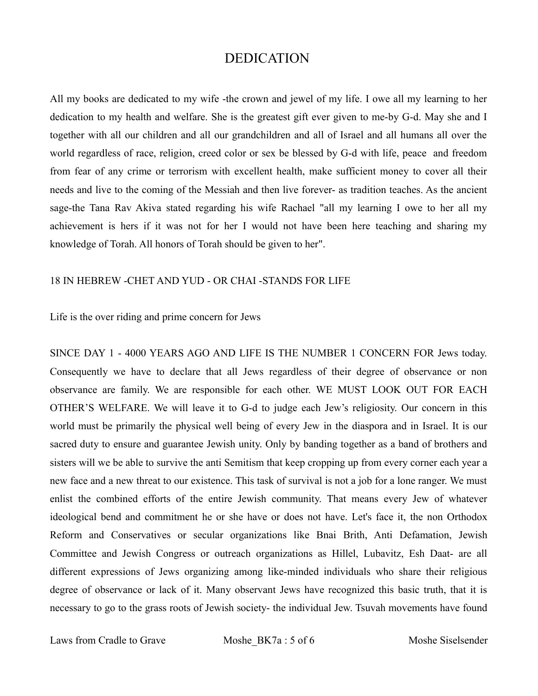### DEDICATION

All my books are dedicated to my wife -the crown and jewel of my life. I owe all my learning to her dedication to my health and welfare. She is the greatest gift ever given to me-by G-d. May she and I together with all our children and all our grandchildren and all of Israel and all humans all over the world regardless of race, religion, creed color or sex be blessed by G-d with life, peace and freedom from fear of any crime or terrorism with excellent health, make sufficient money to cover all their needs and live to the coming of the Messiah and then live forever- as tradition teaches. As the ancient sage-the Tana Rav Akiva stated regarding his wife Rachael "all my learning I owe to her all my achievement is hers if it was not for her I would not have been here teaching and sharing my knowledge of Torah. All honors of Torah should be given to her".

#### 18 IN HEBREW -CHET AND YUD - OR CHAI -STANDS FOR LIFE

Life is the over riding and prime concern for Jews

SINCE DAY 1 - 4000 YEARS AGO AND LIFE IS THE NUMBER 1 CONCERN FOR Jews today. Consequently we have to declare that all Jews regardless of their degree of observance or non observance are family. We are responsible for each other. WE MUST LOOK OUT FOR EACH OTHER'S WELFARE. We will leave it to G-d to judge each Jew's religiosity. Our concern in this world must be primarily the physical well being of every Jew in the diaspora and in Israel. It is our sacred duty to ensure and guarantee Jewish unity. Only by banding together as a band of brothers and sisters will we be able to survive the anti Semitism that keep cropping up from every corner each year a new face and a new threat to our existence. This task of survival is not a job for a lone ranger. We must enlist the combined efforts of the entire Jewish community. That means every Jew of whatever ideological bend and commitment he or she have or does not have. Let's face it, the non Orthodox Reform and Conservatives or secular organizations like Bnai Brith, Anti Defamation, Jewish Committee and Jewish Congress or outreach organizations as Hillel, Lubavitz, Esh Daat- are all different expressions of Jews organizing among like-minded individuals who share their religious degree of observance or lack of it. Many observant Jews have recognized this basic truth, that it is necessary to go to the grass roots of Jewish society- the individual Jew. Tsuvah movements have found

Laws from Cradle to Grave Moshe\_BK7a : 5 of 6 Moshe Siselsender